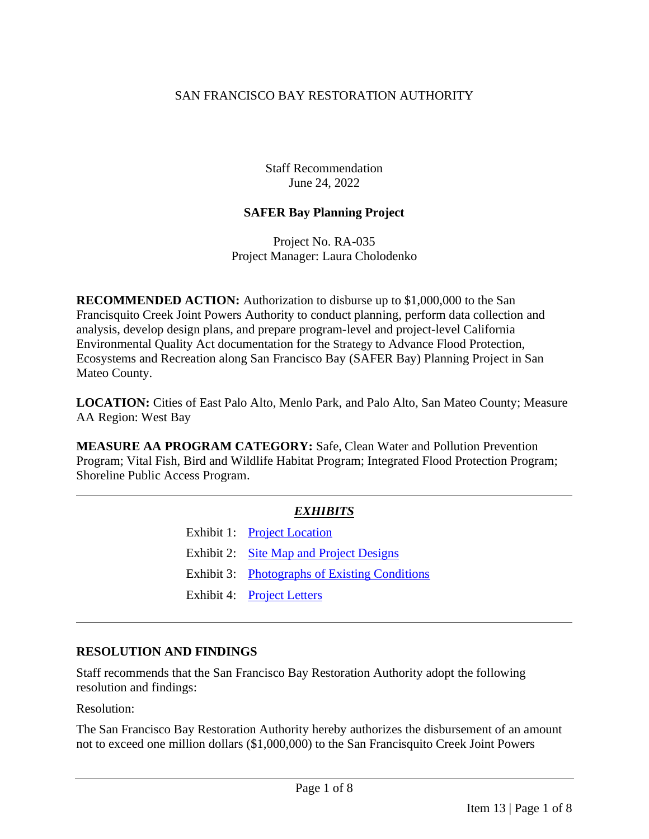#### SAN FRANCISCO BAY RESTORATION AUTHORITY

Staff Recommendation June 24, 2022

#### **SAFER Bay Planning Project**

Project No. RA-035 Project Manager: Laura Cholodenko

**RECOMMENDED ACTION:** Authorization to disburse up to \$1,000,000 to the San Francisquito Creek Joint Powers Authority to conduct planning, perform data collection and analysis, develop design plans, and prepare program-level and project-level California Environmental Quality Act documentation for the Strategy to Advance Flood Protection, Ecosystems and Recreation along San Francisco Bay (SAFER Bay) Planning Project in San Mateo County.

**LOCATION:** Cities of East Palo Alto, Menlo Park, and Palo Alto, San Mateo County; Measure AA Region: West Bay

**MEASURE AA PROGRAM CATEGORY:** Safe, Clean Water and Pollution Prevention Program; Vital Fish, Bird and Wildlife Habitat Program; Integrated Flood Protection Program; Shoreline Public Access Program.

## *EXHIBITS*

- Exhibit 1: [Project Location](https://www.sfbayrestore.org/sites/default/files/2022-06/Item%2013_SAFER%20Bay%20Staff_Ex1.pdf)
- Exhibit 2: [Site Map and Project Designs](https://www.sfbayrestore.org/sites/default/files/2022-06/Item%2013_SAFER%20Bay%20Staff_Ex2.pdf)
- Exhibit 3: [Photographs of Existing Conditions](https://www.sfbayrestore.org/sites/default/files/2022-06/Item%2013_SAFER%20Bay%20Staff_Ex3.pdf)
- Exhibit 4: [Project Letters](https://www.sfbayrestore.org/sites/default/files/2022-06/Item%2013_SAFER%20Bay%20Staff_Ex4.pdf)

## **RESOLUTION AND FINDINGS**

Staff recommends that the San Francisco Bay Restoration Authority adopt the following resolution and findings:

Resolution:

The San Francisco Bay Restoration Authority hereby authorizes the disbursement of an amount not to exceed one million dollars (\$1,000,000) to the San Francisquito Creek Joint Powers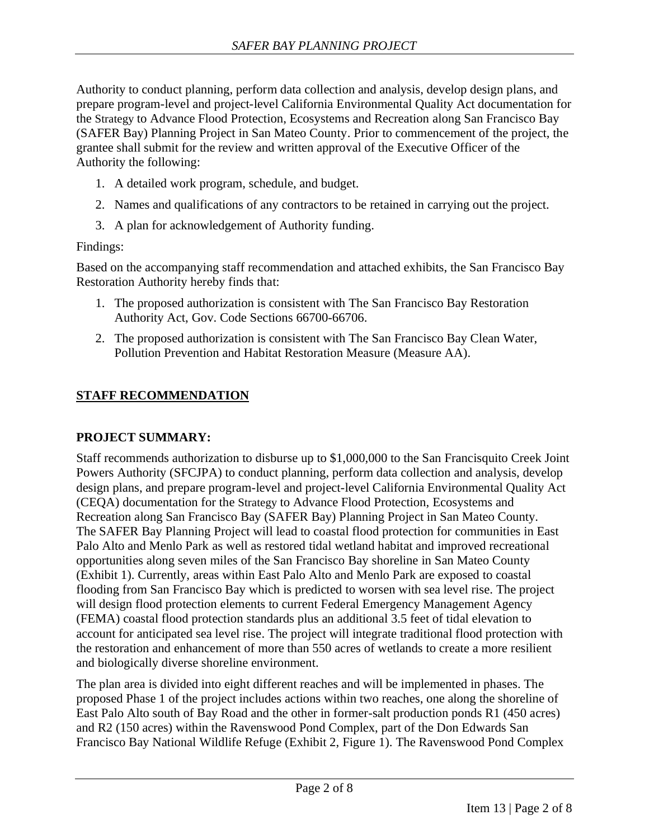Authority to conduct planning, perform data collection and analysis, develop design plans, and prepare program-level and project-level California Environmental Quality Act documentation for the Strategy to Advance Flood Protection, Ecosystems and Recreation along San Francisco Bay (SAFER Bay) Planning Project in San Mateo County. Prior to commencement of the project, the grantee shall submit for the review and written approval of the Executive Officer of the Authority the following:

- 1. A detailed work program, schedule, and budget.
- 2. Names and qualifications of any contractors to be retained in carrying out the project.
- 3. A plan for acknowledgement of Authority funding.

## Findings:

Based on the accompanying staff recommendation and attached exhibits, the San Francisco Bay Restoration Authority hereby finds that:

- 1. The proposed authorization is consistent with The San Francisco Bay Restoration Authority Act, Gov. Code Sections 66700-66706.
- 2. The proposed authorization is consistent with The San Francisco Bay Clean Water, Pollution Prevention and Habitat Restoration Measure (Measure AA).

# **STAFF RECOMMENDATION**

## **PROJECT SUMMARY:**

Staff recommends authorization to disburse up to \$1,000,000 to the San Francisquito Creek Joint Powers Authority (SFCJPA) to conduct planning, perform data collection and analysis, develop design plans, and prepare program-level and project-level California Environmental Quality Act (CEQA) documentation for the Strategy to Advance Flood Protection, Ecosystems and Recreation along San Francisco Bay (SAFER Bay) Planning Project in San Mateo County. The SAFER Bay Planning Project will lead to coastal flood protection for communities in East Palo Alto and Menlo Park as well as restored tidal wetland habitat and improved recreational opportunities along seven miles of the San Francisco Bay shoreline in San Mateo County (Exhibit 1). Currently, areas within East Palo Alto and Menlo Park are exposed to coastal flooding from San Francisco Bay which is predicted to worsen with sea level rise. The project will design flood protection elements to current Federal Emergency Management Agency (FEMA) coastal flood protection standards plus an additional 3.5 feet of tidal elevation to account for anticipated sea level rise. The project will integrate traditional flood protection with the restoration and enhancement of more than 550 acres of wetlands to create a more resilient and biologically diverse shoreline environment.

The plan area is divided into eight different reaches and will be implemented in phases. The proposed Phase 1 of the project includes actions within two reaches, one along the shoreline of East Palo Alto south of Bay Road and the other in former-salt production ponds R1 (450 acres) and R2 (150 acres) within the Ravenswood Pond Complex, part of the Don Edwards San Francisco Bay National Wildlife Refuge (Exhibit 2, Figure 1). The Ravenswood Pond Complex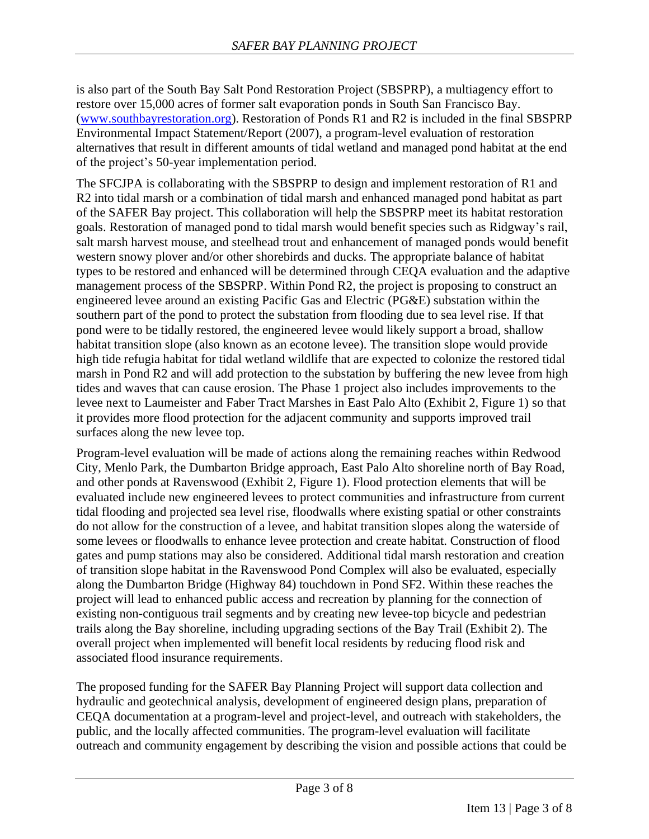is also part of the South Bay Salt Pond Restoration Project (SBSPRP), a multiagency effort to restore over 15,000 acres of former salt evaporation ponds in South San Francisco Bay. [\(www.southbayrestoration.org\)](http://www.southbayrestoration.org/). Restoration of Ponds R1 and R2 is included in the final SBSPRP Environmental Impact Statement/Report (2007), a program-level evaluation of restoration alternatives that result in different amounts of tidal wetland and managed pond habitat at the end of the project's 50-year implementation period.

The SFCJPA is collaborating with the SBSPRP to design and implement restoration of R1 and R2 into tidal marsh or a combination of tidal marsh and enhanced managed pond habitat as part of the SAFER Bay project. This collaboration will help the SBSPRP meet its habitat restoration goals. Restoration of managed pond to tidal marsh would benefit species such as Ridgway's rail, salt marsh harvest mouse, and steelhead trout and enhancement of managed ponds would benefit western snowy plover and/or other shorebirds and ducks. The appropriate balance of habitat types to be restored and enhanced will be determined through CEQA evaluation and the adaptive management process of the SBSPRP. Within Pond R2, the project is proposing to construct an engineered levee around an existing Pacific Gas and Electric (PG&E) substation within the southern part of the pond to protect the substation from flooding due to sea level rise. If that pond were to be tidally restored, the engineered levee would likely support a broad, shallow habitat transition slope (also known as an ecotone levee). The transition slope would provide high tide refugia habitat for tidal wetland wildlife that are expected to colonize the restored tidal marsh in Pond R2 and will add protection to the substation by buffering the new levee from high tides and waves that can cause erosion. The Phase 1 project also includes improvements to the levee next to Laumeister and Faber Tract Marshes in East Palo Alto (Exhibit 2, Figure 1) so that it provides more flood protection for the adjacent community and supports improved trail surfaces along the new levee top.

Program-level evaluation will be made of actions along the remaining reaches within Redwood City, Menlo Park, the Dumbarton Bridge approach, East Palo Alto shoreline north of Bay Road, and other ponds at Ravenswood (Exhibit 2, Figure 1). Flood protection elements that will be evaluated include new engineered levees to protect communities and infrastructure from current tidal flooding and projected sea level rise, floodwalls where existing spatial or other constraints do not allow for the construction of a levee, and habitat transition slopes along the waterside of some levees or floodwalls to enhance levee protection and create habitat. Construction of flood gates and pump stations may also be considered. Additional tidal marsh restoration and creation of transition slope habitat in the Ravenswood Pond Complex will also be evaluated, especially along the Dumbarton Bridge (Highway 84) touchdown in Pond SF2. Within these reaches the project will lead to enhanced public access and recreation by planning for the connection of existing non-contiguous trail segments and by creating new levee-top bicycle and pedestrian trails along the Bay shoreline, including upgrading sections of the Bay Trail (Exhibit 2). The overall project when implemented will benefit local residents by reducing flood risk and associated flood insurance requirements.

The proposed funding for the SAFER Bay Planning Project will support data collection and hydraulic and geotechnical analysis, development of engineered design plans, preparation of CEQA documentation at a program-level and project-level, and outreach with stakeholders, the public, and the locally affected communities. The program-level evaluation will facilitate outreach and community engagement by describing the vision and possible actions that could be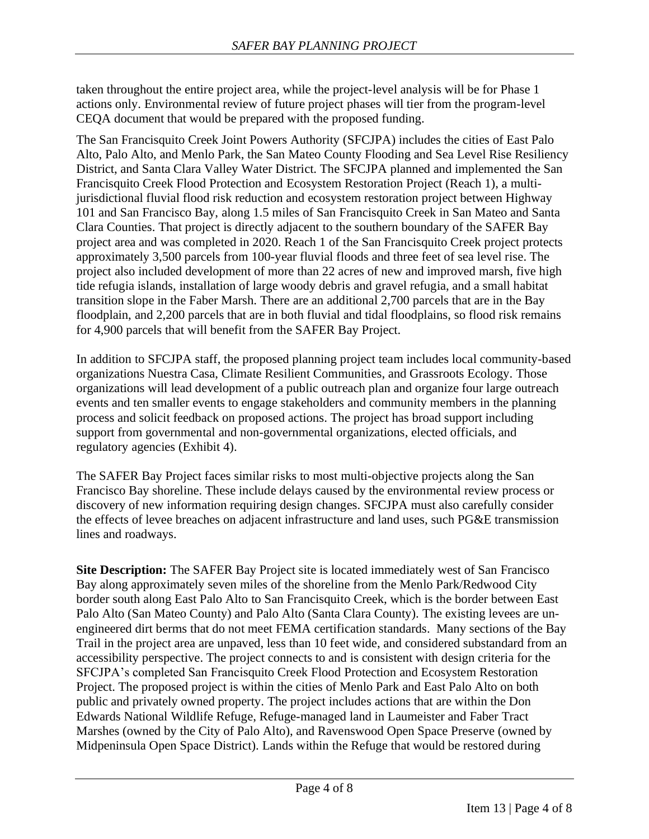taken throughout the entire project area, while the project-level analysis will be for Phase 1 actions only. Environmental review of future project phases will tier from the program-level CEQA document that would be prepared with the proposed funding.

The San Francisquito Creek Joint Powers Authority (SFCJPA) includes the cities of East Palo Alto, Palo Alto, and Menlo Park, the San Mateo County Flooding and Sea Level Rise Resiliency District, and Santa Clara Valley Water District. The SFCJPA planned and implemented the San Francisquito Creek Flood Protection and Ecosystem Restoration Project (Reach 1), a multijurisdictional fluvial flood risk reduction and ecosystem restoration project between Highway 101 and San Francisco Bay, along 1.5 miles of San Francisquito Creek in San Mateo and Santa Clara Counties. That project is directly adjacent to the southern boundary of the SAFER Bay project area and was completed in 2020. Reach 1 of the San Francisquito Creek project protects approximately 3,500 parcels from 100-year fluvial floods and three feet of sea level rise. The project also included development of more than 22 acres of new and improved marsh, five high tide refugia islands, installation of large woody debris and gravel refugia, and a small habitat transition slope in the Faber Marsh. There are an additional 2,700 parcels that are in the Bay floodplain, and 2,200 parcels that are in both fluvial and tidal floodplains, so flood risk remains for 4,900 parcels that will benefit from the SAFER Bay Project.

In addition to SFCJPA staff, the proposed planning project team includes local community-based organizations Nuestra Casa, Climate Resilient Communities, and Grassroots Ecology. Those organizations will lead development of a public outreach plan and organize four large outreach events and ten smaller events to engage stakeholders and community members in the planning process and solicit feedback on proposed actions. The project has broad support including support from governmental and non-governmental organizations, elected officials, and regulatory agencies (Exhibit 4).

The SAFER Bay Project faces similar risks to most multi-objective projects along the San Francisco Bay shoreline. These include delays caused by the environmental review process or discovery of new information requiring design changes. SFCJPA must also carefully consider the effects of levee breaches on adjacent infrastructure and land uses, such PG&E transmission lines and roadways.

**Site Description:** The SAFER Bay Project site is located immediately west of San Francisco Bay along approximately seven miles of the shoreline from the Menlo Park/Redwood City border south along East Palo Alto to San Francisquito Creek, which is the border between East Palo Alto (San Mateo County) and Palo Alto (Santa Clara County). The existing levees are unengineered dirt berms that do not meet FEMA certification standards. Many sections of the Bay Trail in the project area are unpaved, less than 10 feet wide, and considered substandard from an accessibility perspective. The project connects to and is consistent with design criteria for the SFCJPA's completed San Francisquito Creek Flood Protection and Ecosystem Restoration Project. The proposed project is within the cities of Menlo Park and East Palo Alto on both public and privately owned property. The project includes actions that are within the Don Edwards National Wildlife Refuge, Refuge-managed land in Laumeister and Faber Tract Marshes (owned by the City of Palo Alto), and Ravenswood Open Space Preserve (owned by Midpeninsula Open Space District). Lands within the Refuge that would be restored during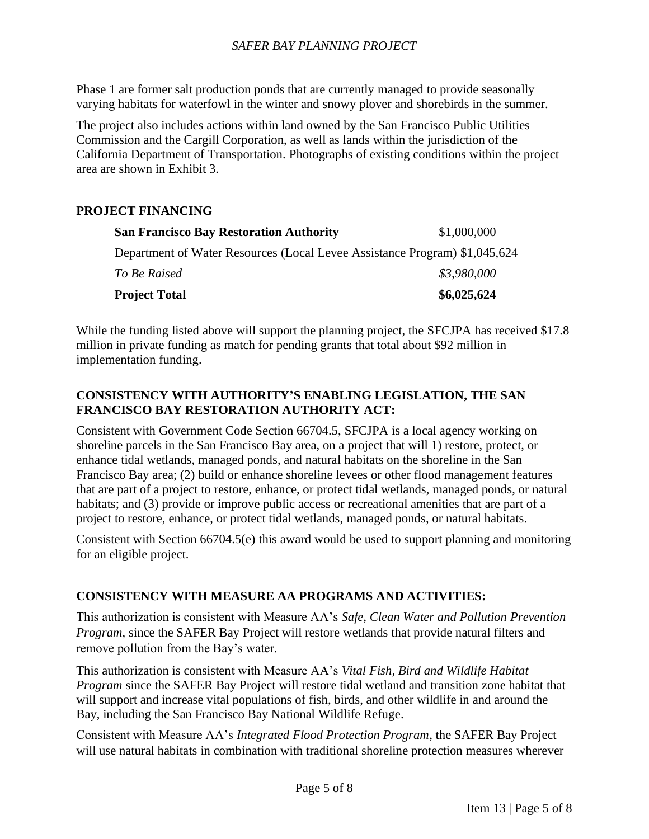Phase 1 are former salt production ponds that are currently managed to provide seasonally varying habitats for waterfowl in the winter and snowy plover and shorebirds in the summer.

The project also includes actions within land owned by the San Francisco Public Utilities Commission and the Cargill Corporation, as well as lands within the jurisdiction of the California Department of Transportation. Photographs of existing conditions within the project area are shown in Exhibit 3.

#### **PROJECT FINANCING**

| <b>San Francisco Bay Restoration Authority</b>                             | \$1,000,000 |
|----------------------------------------------------------------------------|-------------|
| Department of Water Resources (Local Levee Assistance Program) \$1,045,624 |             |
| To Be Raised                                                               | \$3,980,000 |
| <b>Project Total</b>                                                       | \$6,025,624 |

While the funding listed above will support the planning project, the SFCJPA has received \$17.8 million in private funding as match for pending grants that total about \$92 million in implementation funding.

#### **CONSISTENCY WITH AUTHORITY'S ENABLING LEGISLATION, THE SAN FRANCISCO BAY RESTORATION AUTHORITY ACT:**

Consistent with Government Code Section 66704.5, SFCJPA is a local agency working on shoreline parcels in the San Francisco Bay area, on a project that will 1) restore, protect, or enhance tidal wetlands, managed ponds, and natural habitats on the shoreline in the San Francisco Bay area; (2) build or enhance shoreline levees or other flood management features that are part of a project to restore, enhance, or protect tidal wetlands, managed ponds, or natural habitats; and (3) provide or improve public access or recreational amenities that are part of a project to restore, enhance, or protect tidal wetlands, managed ponds, or natural habitats.

Consistent with Section 66704.5(e) this award would be used to support planning and monitoring for an eligible project.

## **CONSISTENCY WITH MEASURE AA PROGRAMS AND ACTIVITIES:**

This authorization is consistent with Measure AA's *Safe, Clean Water and Pollution Prevention Program,* since the SAFER Bay Project will restore wetlands that provide natural filters and remove pollution from the Bay's water.

This authorization is consistent with Measure AA's *Vital Fish, Bird and Wildlife Habitat Program* since the SAFER Bay Project will restore tidal wetland and transition zone habitat that will support and increase vital populations of fish, birds, and other wildlife in and around the Bay, including the San Francisco Bay National Wildlife Refuge.

Consistent with Measure AA's *Integrated Flood Protection Program*, the SAFER Bay Project will use natural habitats in combination with traditional shoreline protection measures wherever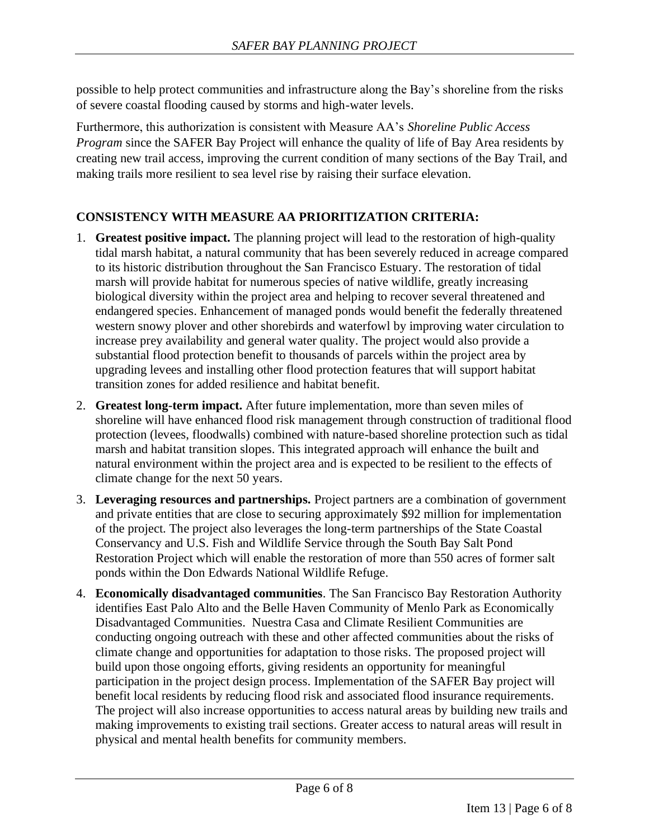possible to help protect communities and infrastructure along the Bay's shoreline from the risks of severe coastal flooding caused by storms and high-water levels.

Furthermore, this authorization is consistent with Measure AA's *Shoreline Public Access Program* since the SAFER Bay Project will enhance the quality of life of Bay Area residents by creating new trail access, improving the current condition of many sections of the Bay Trail, and making trails more resilient to sea level rise by raising their surface elevation.

## **CONSISTENCY WITH MEASURE AA PRIORITIZATION CRITERIA:**

- 1. **Greatest positive impact.** The planning project will lead to the restoration of high-quality tidal marsh habitat, a natural community that has been severely reduced in acreage compared to its historic distribution throughout the San Francisco Estuary. The restoration of tidal marsh will provide habitat for numerous species of native wildlife, greatly increasing biological diversity within the project area and helping to recover several threatened and endangered species. Enhancement of managed ponds would benefit the federally threatened western snowy plover and other shorebirds and waterfowl by improving water circulation to increase prey availability and general water quality. The project would also provide a substantial flood protection benefit to thousands of parcels within the project area by upgrading levees and installing other flood protection features that will support habitat transition zones for added resilience and habitat benefit.
- 2. **Greatest long-term impact.** After future implementation, more than seven miles of shoreline will have enhanced flood risk management through construction of traditional flood protection (levees, floodwalls) combined with nature-based shoreline protection such as tidal marsh and habitat transition slopes. This integrated approach will enhance the built and natural environment within the project area and is expected to be resilient to the effects of climate change for the next 50 years.
- 3. **Leveraging resources and partnerships.** Project partners are a combination of government and private entities that are close to securing approximately \$92 million for implementation of the project. The project also leverages the long-term partnerships of the State Coastal Conservancy and U.S. Fish and Wildlife Service through the South Bay Salt Pond Restoration Project which will enable the restoration of more than 550 acres of former salt ponds within the Don Edwards National Wildlife Refuge.
- 4. **Economically disadvantaged communities**. The San Francisco Bay Restoration Authority identifies East Palo Alto and the Belle Haven Community of Menlo Park as Economically Disadvantaged Communities. Nuestra Casa and Climate Resilient Communities are conducting ongoing outreach with these and other affected communities about the risks of climate change and opportunities for adaptation to those risks. The proposed project will build upon those ongoing efforts, giving residents an opportunity for meaningful participation in the project design process. Implementation of the SAFER Bay project will benefit local residents by reducing flood risk and associated flood insurance requirements. The project will also increase opportunities to access natural areas by building new trails and making improvements to existing trail sections. Greater access to natural areas will result in physical and mental health benefits for community members.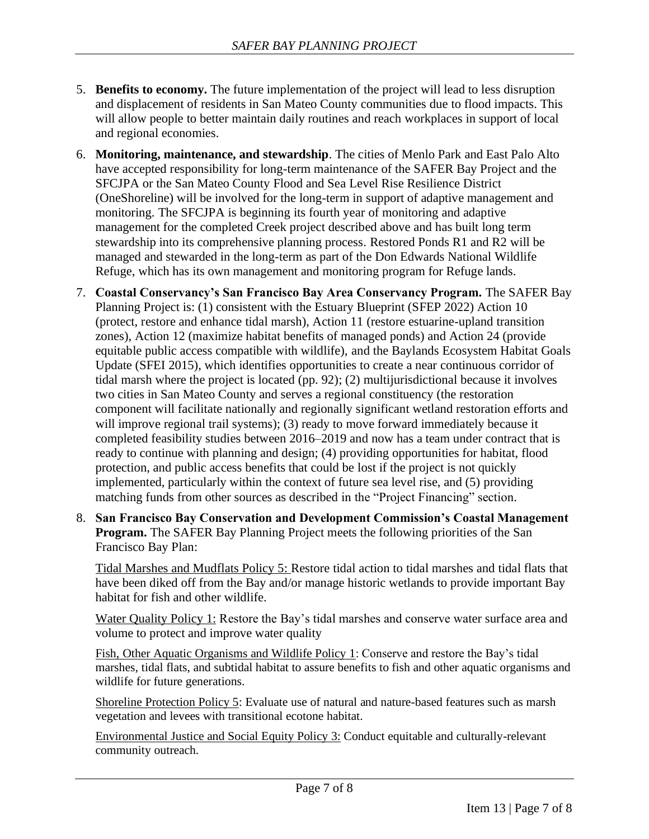- 5. **Benefits to economy.** The future implementation of the project will lead to less disruption and displacement of residents in San Mateo County communities due to flood impacts. This will allow people to better maintain daily routines and reach workplaces in support of local and regional economies.
- 6. **Monitoring, maintenance, and stewardship**. The cities of Menlo Park and East Palo Alto have accepted responsibility for long-term maintenance of the SAFER Bay Project and the SFCJPA or the San Mateo County Flood and Sea Level Rise Resilience District (OneShoreline) will be involved for the long-term in support of adaptive management and monitoring. The SFCJPA is beginning its fourth year of monitoring and adaptive management for the completed Creek project described above and has built long term stewardship into its comprehensive planning process. Restored Ponds R1 and R2 will be managed and stewarded in the long-term as part of the Don Edwards National Wildlife Refuge, which has its own management and monitoring program for Refuge lands.
- 7. **Coastal Conservancy's San Francisco Bay Area Conservancy Program.** The SAFER Bay Planning Project is: (1) consistent with the Estuary Blueprint (SFEP 2022) Action 10 (protect, restore and enhance tidal marsh), Action 11 (restore estuarine-upland transition zones), Action 12 (maximize habitat benefits of managed ponds) and Action 24 (provide equitable public access compatible with wildlife), and the Baylands Ecosystem Habitat Goals Update (SFEI 2015), which identifies opportunities to create a near continuous corridor of tidal marsh where the project is located (pp. 92); (2) multijurisdictional because it involves two cities in San Mateo County and serves a regional constituency (the restoration component will facilitate nationally and regionally significant wetland restoration efforts and will improve regional trail systems); (3) ready to move forward immediately because it completed feasibility studies between 2016–2019 and now has a team under contract that is ready to continue with planning and design; (4) providing opportunities for habitat, flood protection, and public access benefits that could be lost if the project is not quickly implemented, particularly within the context of future sea level rise, and (5) providing matching funds from other sources as described in the "Project Financing" section.
- 8. **San Francisco Bay Conservation and Development Commission's Coastal Management Program.** The SAFER Bay Planning Project meets the following priorities of the San Francisco Bay Plan:

Tidal Marshes and Mudflats Policy 5: Restore tidal action to tidal marshes and tidal flats that have been diked off from the Bay and/or manage historic wetlands to provide important Bay habitat for fish and other wildlife.

Water Quality Policy 1: Restore the Bay's tidal marshes and conserve water surface area and volume to protect and improve water quality

Fish, Other Aquatic Organisms and Wildlife Policy 1: Conserve and restore the Bay's tidal marshes, tidal flats, and subtidal habitat to assure benefits to fish and other aquatic organisms and wildlife for future generations.

Shoreline Protection Policy 5: Evaluate use of natural and nature-based features such as marsh vegetation and levees with transitional ecotone habitat.

Environmental Justice and Social Equity Policy 3: Conduct equitable and culturally-relevant community outreach.